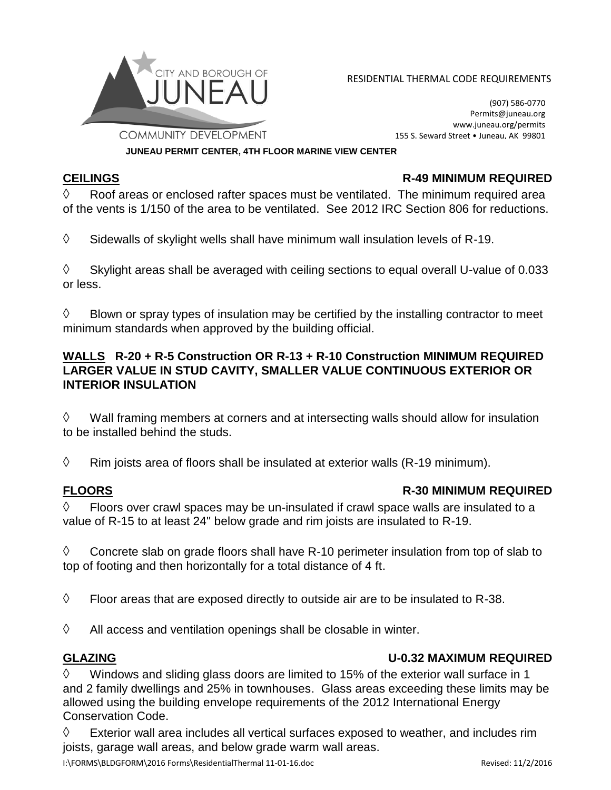

CITY AND BOROUGH OF **EXAMPLE THERMAL CODE REQUIREMENTS** 

(907) 586-0770 Permits@juneau.org www.juneau.org/permits 155 S. Seward Street • Juneau, AK 99801

**JUNEAU PERMIT CENTER, 4TH FLOOR MARINE VIEW CENTER**

### **CEILINGS R-49 MINIMUM REQUIRED**

 $\Diamond$  Roof areas or enclosed rafter spaces must be ventilated. The minimum required area of the vents is 1/150 of the area to be ventilated. See 2012 IRC Section 806 for reductions.

 $\Diamond$  Sidewalls of skylight wells shall have minimum wall insulation levels of R-19.

 $\Diamond$  Skylight areas shall be averaged with ceiling sections to equal overall U-value of 0.033 or less.

 $\Diamond$  Blown or spray types of insulation may be certified by the installing contractor to meet minimum standards when approved by the building official.

### **WALLS R-20 + R-5 Construction OR R-13 + R-10 Construction MINIMUM REQUIRED LARGER VALUE IN STUD CAVITY, SMALLER VALUE CONTINUOUS EXTERIOR OR INTERIOR INSULATION**

 $\Diamond$  Wall framing members at corners and at intersecting walls should allow for insulation to be installed behind the studs.

 $\Diamond$  Rim joists area of floors shall be insulated at exterior walls (R-19 minimum).

## **FLOORS R-30 MINIMUM REQUIRED**

 $\Diamond$  Floors over crawl spaces may be un-insulated if crawl space walls are insulated to a value of R-15 to at least 24" below grade and rim joists are insulated to R-19.

 $\Diamond$  Concrete slab on grade floors shall have R-10 perimeter insulation from top of slab to top of footing and then horizontally for a total distance of 4 ft.

 $\Diamond$  Floor areas that are exposed directly to outside air are to be insulated to R-38.

 $\Diamond$  All access and ventilation openings shall be closable in winter.

## **GLAZING U-0.32 MAXIMUM REQUIRED**

 $\Diamond$  Windows and sliding glass doors are limited to 15% of the exterior wall surface in 1 and 2 family dwellings and 25% in townhouses. Glass areas exceeding these limits may be allowed using the building envelope requirements of the 2012 International Energy Conservation Code.

 $\Diamond$  Exterior wall area includes all vertical surfaces exposed to weather, and includes rim joists, garage wall areas, and below grade warm wall areas.

I:\FORMS\BLDGFORM\2016 Forms\ResidentialThermal 11-01-16.doc Revised: 11/2/2016